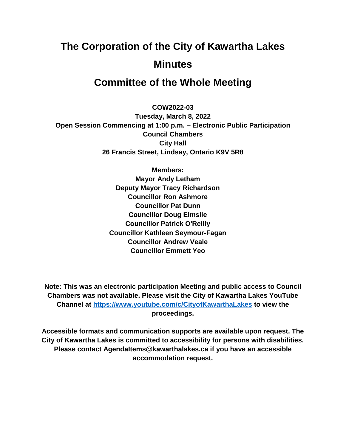# **The Corporation of the City of Kawartha Lakes Minutes**

# **Committee of the Whole Meeting**

**COW2022-03**

**Tuesday, March 8, 2022 Open Session Commencing at 1:00 p.m. – Electronic Public Participation Council Chambers City Hall 26 Francis Street, Lindsay, Ontario K9V 5R8**

> **Members: Mayor Andy Letham Deputy Mayor Tracy Richardson Councillor Ron Ashmore Councillor Pat Dunn Councillor Doug Elmslie Councillor Patrick O'Reilly Councillor Kathleen Seymour-Fagan Councillor Andrew Veale Councillor Emmett Yeo**

**Note: This was an electronic participation Meeting and public access to Council Chambers was not available. Please visit the City of Kawartha Lakes YouTube Channel at<https://www.youtube.com/c/CityofKawarthaLakes> to view the proceedings.**

**Accessible formats and communication supports are available upon request. The City of Kawartha Lakes is committed to accessibility for persons with disabilities. Please contact AgendaItems@kawarthalakes.ca if you have an accessible accommodation request.**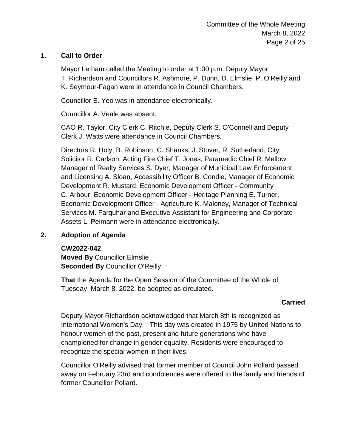# **1. Call to Order**

Mayor Letham called the Meeting to order at 1:00 p.m. Deputy Mayor T. Richardson and Councillors R. Ashmore, P. Dunn, D. Elmslie, P. O'Reilly and K. Seymour-Fagan were in attendance in Council Chambers.

Councillor E. Yeo was in attendance electronically.

Councillor A. Veale was absent.

CAO R. Taylor, City Clerk C. Ritchie, Deputy Clerk S. O'Connell and Deputy Clerk J. Watts were attendance in Council Chambers.

Directors R. Holy, B. Robinson, C. Shanks, J. Stover, R. Sutherland, City Solicitor R. Carlson, Acting Fire Chief T. Jones, Paramedic Chief R. Mellow, Manager of Realty Services S. Dyer, Manager of Municipal Law Enforcement and Licensing A. Sloan, Accessibility Officer B. Condie, Manager of Economic Development R. Mustard, Economic Development Officer - Community C. Arbour, Economic Development Officer - Heritage Planning E. Turner, Economic Development Officer - Agriculture K. Maloney, Manager of Technical Services M. Farquhar and Executive Assistant for Engineering and Corporate Assets L. Peimann were in attendance electronically.

# **2. Adoption of Agenda**

### **CW2022-042**

**Moved By** Councillor Elmslie **Seconded By** Councillor O'Reilly

**That** the Agenda for the Open Session of the Committee of the Whole of Tuesday, March 8, 2022, be adopted as circulated.

### **Carried**

Deputy Mayor Richardson acknowledged that March 8th is recognized as International Women's Day. This day was created in 1975 by United Nations to honour women of the past, present and future generations who have championed for change in gender equality. Residents were encouraged to recognize the special women in their lives.

Councillor O'Reilly advised that former member of Council John Pollard passed away on February 23rd and condolences were offered to the family and friends of former Councillor Pollard.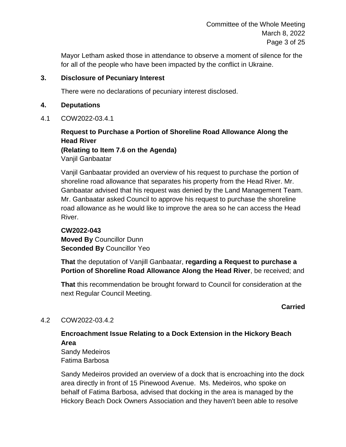Committee of the Whole Meeting March 8, 2022 Page 3 of 25

Mayor Letham asked those in attendance to observe a moment of silence for the for all of the people who have been impacted by the conflict in Ukraine.

#### **3. Disclosure of Pecuniary Interest**

There were no declarations of pecuniary interest disclosed.

#### **4. Deputations**

4.1 COW2022-03.4.1

# **Request to Purchase a Portion of Shoreline Road Allowance Along the Head River (Relating to Item 7.6 on the Agenda)**

Vanjil Ganbaatar

Vanjil Ganbaatar provided an overview of his request to purchase the portion of shoreline road allowance that separates his property from the Head River. Mr. Ganbaatar advised that his request was denied by the Land Management Team. Mr. Ganbaatar asked Council to approve his request to purchase the shoreline road allowance as he would like to improve the area so he can access the Head River.

# **CW2022-043 Moved By** Councillor Dunn **Seconded By** Councillor Yeo

**That** the deputation of Vanjill Ganbaatar, **regarding a Request to purchase a Portion of Shoreline Road Allowance Along the Head River**, be received; and

**That** this recommendation be brought forward to Council for consideration at the next Regular Council Meeting.

# **Carried**

### 4.2 COW2022-03.4.2

# **Encroachment Issue Relating to a Dock Extension in the Hickory Beach Area**

Sandy Medeiros Fatima Barbosa

Sandy Medeiros provided an overview of a dock that is encroaching into the dock area directly in front of 15 Pinewood Avenue. Ms. Medeiros, who spoke on behalf of Fatima Barbosa, advised that docking in the area is managed by the Hickory Beach Dock Owners Association and they haven't been able to resolve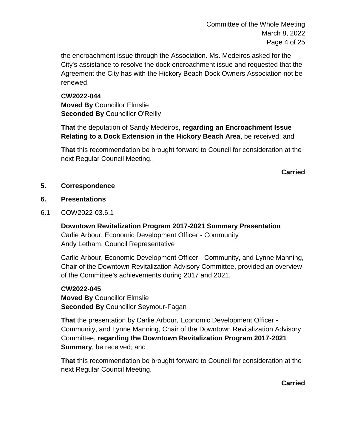Committee of the Whole Meeting March 8, 2022 Page 4 of 25

the encroachment issue through the Association. Ms. Medeiros asked for the City's assistance to resolve the dock encroachment issue and requested that the Agreement the City has with the Hickory Beach Dock Owners Association not be renewed.

**CW2022-044 Moved By** Councillor Elmslie **Seconded By** Councillor O'Reilly

**That** the deputation of Sandy Medeiros, **regarding an Encroachment Issue Relating to a Dock Extension in the Hickory Beach Area**, be received; and

**That** this recommendation be brought forward to Council for consideration at the next Regular Council Meeting.

**Carried**

#### **5. Correspondence**

#### **6. Presentations**

6.1 COW2022-03.6.1

**Downtown Revitalization Program 2017-2021 Summary Presentation** Carlie Arbour, Economic Development Officer - Community Andy Letham, Council Representative

Carlie Arbour, Economic Development Officer - Community, and Lynne Manning, Chair of the Downtown Revitalization Advisory Committee, provided an overview of the Committee's achievements during 2017 and 2021.

#### **CW2022-045**

**Moved By** Councillor Elmslie **Seconded By** Councillor Seymour-Fagan

**That** the presentation by Carlie Arbour, Economic Development Officer - Community, and Lynne Manning, Chair of the Downtown Revitalization Advisory Committee, **regarding the Downtown Revitalization Program 2017-2021 Summary**, be received; and

**That** this recommendation be brought forward to Council for consideration at the next Regular Council Meeting.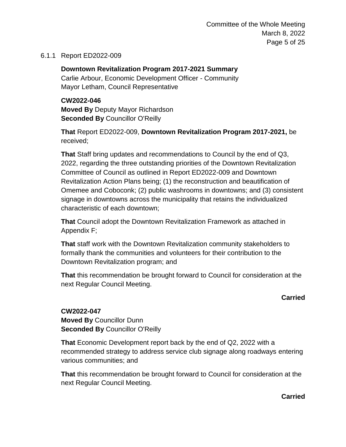Committee of the Whole Meeting March 8, 2022 Page 5 of 25

#### 6.1.1 Report ED2022-009

**Downtown Revitalization Program 2017-2021 Summary** Carlie Arbour, Economic Development Officer - Community Mayor Letham, Council Representative

**CW2022-046 Moved By** Deputy Mayor Richardson **Seconded By** Councillor O'Reilly

**That** Report ED2022-009, **Downtown Revitalization Program 2017-2021,** be received;

**That** Staff bring updates and recommendations to Council by the end of Q3, 2022, regarding the three outstanding priorities of the Downtown Revitalization Committee of Council as outlined in Report ED2022-009 and Downtown Revitalization Action Plans being; (1) the reconstruction and beautification of Omemee and Coboconk; (2) public washrooms in downtowns; and (3) consistent signage in downtowns across the municipality that retains the individualized characteristic of each downtown;

**That** Council adopt the Downtown Revitalization Framework as attached in Appendix F;

**That** staff work with the Downtown Revitalization community stakeholders to formally thank the communities and volunteers for their contribution to the Downtown Revitalization program; and

**That** this recommendation be brought forward to Council for consideration at the next Regular Council Meeting.

### **Carried**

**CW2022-047 Moved By** Councillor Dunn **Seconded By** Councillor O'Reilly

**That** Economic Development report back by the end of Q2, 2022 with a recommended strategy to address service club signage along roadways entering various communities; and

**That** this recommendation be brought forward to Council for consideration at the next Regular Council Meeting.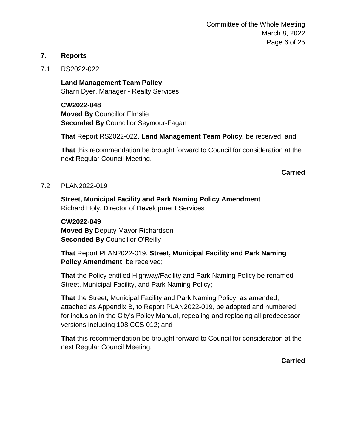Committee of the Whole Meeting March 8, 2022 Page 6 of 25

#### **7. Reports**

#### 7.1 RS2022-022

**Land Management Team Policy** Sharri Dyer, Manager - Realty Services

**CW2022-048 Moved By** Councillor Elmslie **Seconded By** Councillor Seymour-Fagan

**That** Report RS2022-022, **Land Management Team Policy**, be received; and

**That** this recommendation be brought forward to Council for consideration at the next Regular Council Meeting.

**Carried**

#### 7.2 PLAN2022-019

**Street, Municipal Facility and Park Naming Policy Amendment** Richard Holy, Director of Development Services

#### **CW2022-049**

**Moved By** Deputy Mayor Richardson **Seconded By** Councillor O'Reilly

**That** Report PLAN2022-019, **Street, Municipal Facility and Park Naming Policy Amendment**, be received;

**That** the Policy entitled Highway/Facility and Park Naming Policy be renamed Street, Municipal Facility, and Park Naming Policy;

**That** the Street, Municipal Facility and Park Naming Policy, as amended, attached as Appendix B, to Report PLAN2022-019, be adopted and numbered for inclusion in the City's Policy Manual, repealing and replacing all predecessor versions including 108 CCS 012; and

**That** this recommendation be brought forward to Council for consideration at the next Regular Council Meeting.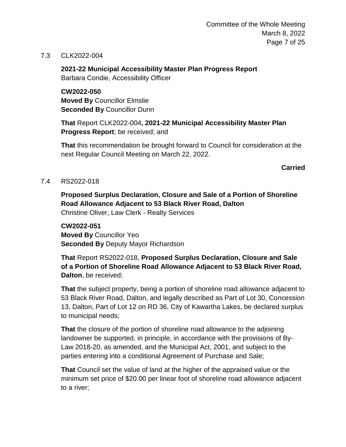Committee of the Whole Meeting March 8, 2022 Page 7 of 25

7.3 CLK2022-004

**2021-22 Municipal Accessibility Master Plan Progress Report** Barbara Condie, Accessibility Officer

**CW2022-050 Moved By** Councillor Elmslie **Seconded By** Councillor Dunn

**That** Report CLK2022-004**, 2021-22 Municipal Accessibility Master Plan Progress Report**; be received; and

**That** this recommendation be brought forward to Council for consideration at the next Regular Council Meeting on March 22, 2022.

**Carried**

#### 7.4 RS2022-018

**Proposed Surplus Declaration, Closure and Sale of a Portion of Shoreline Road Allowance Adjacent to 53 Black River Road, Dalton** Christine Oliver, Law Clerk - Realty Services

**CW2022-051 Moved By** Councillor Yeo **Seconded By** Deputy Mayor Richardson

**That** Report RS2022-018, **Proposed Surplus Declaration, Closure and Sale of a Portion of Shoreline Road Allowance Adjacent to 53 Black River Road, Dalton**, be received;

**That** the subject property, being a portion of shoreline road allowance adjacent to 53 Black River Road, Dalton, and legally described as Part of Lot 30, Concession 13, Dalton, Part of Lot 12 on RD 36, City of Kawartha Lakes, be declared surplus to municipal needs;

**That** the closure of the portion of shoreline road allowance to the adjoining landowner be supported, in principle, in accordance with the provisions of By-Law 2018-20, as amended, and the Municipal Act, 2001, and subject to the parties entering into a conditional Agreement of Purchase and Sale;

**That** Council set the value of land at the higher of the appraised value or the minimum set price of \$20.00 per linear foot of shoreline road allowance adjacent to a river;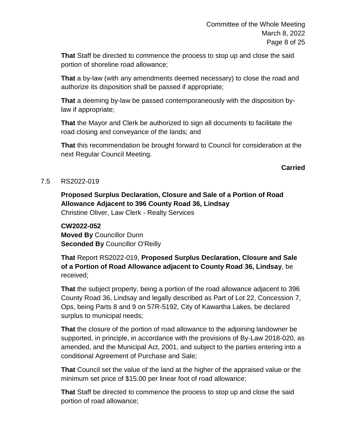**That** Staff be directed to commence the process to stop up and close the said portion of shoreline road allowance;

**That** a by-law (with any amendments deemed necessary) to close the road and authorize its disposition shall be passed if appropriate;

**That** a deeming by-law be passed contemporaneously with the disposition bylaw if appropriate;

**That** the Mayor and Clerk be authorized to sign all documents to facilitate the road closing and conveyance of the lands; and

**That** this recommendation be brought forward to Council for consideration at the next Regular Council Meeting.

**Carried**

#### 7.5 RS2022-019

**Proposed Surplus Declaration, Closure and Sale of a Portion of Road Allowance Adjacent to 396 County Road 36, Lindsay** Christine Oliver, Law Clerk - Realty Services

**CW2022-052 Moved By** Councillor Dunn **Seconded By** Councillor O'Reilly

**That** Report RS2022-019, **Proposed Surplus Declaration, Closure and Sale of a Portion of Road Allowance adjacent to County Road 36, Lindsay**, be received;

**That** the subject property, being a portion of the road allowance adjacent to 396 County Road 36, Lindsay and legally described as Part of Lot 22, Concession 7, Ops, being Parts 8 and 9 on 57R-5192, City of Kawartha Lakes, be declared surplus to municipal needs;

**That** the closure of the portion of road allowance to the adjoining landowner be supported, in principle, in accordance with the provisions of By-Law 2018-020, as amended, and the Municipal Act, 2001, and subject to the parties entering into a conditional Agreement of Purchase and Sale;

**That** Council set the value of the land at the higher of the appraised value or the minimum set price of \$15.00 per linear foot of road allowance;

**That** Staff be directed to commence the process to stop up and close the said portion of road allowance;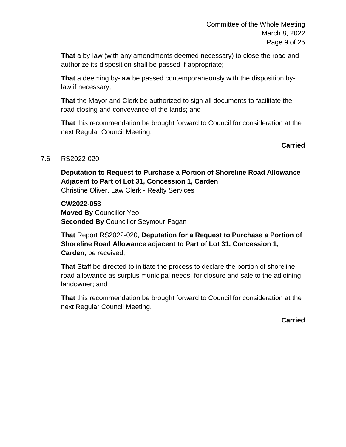**That** a by-law (with any amendments deemed necessary) to close the road and authorize its disposition shall be passed if appropriate;

**That** a deeming by-law be passed contemporaneously with the disposition bylaw if necessary;

**That** the Mayor and Clerk be authorized to sign all documents to facilitate the road closing and conveyance of the lands; and

**That** this recommendation be brought forward to Council for consideration at the next Regular Council Meeting.

**Carried**

### 7.6 RS2022-020

**Deputation to Request to Purchase a Portion of Shoreline Road Allowance Adjacent to Part of Lot 31, Concession 1, Carden** Christine Oliver, Law Clerk - Realty Services

**CW2022-053 Moved By** Councillor Yeo **Seconded By** Councillor Seymour-Fagan

**That** Report RS2022-020, **Deputation for a Request to Purchase a Portion of Shoreline Road Allowance adjacent to Part of Lot 31, Concession 1, Carden**, be received;

**That** Staff be directed to initiate the process to declare the portion of shoreline road allowance as surplus municipal needs, for closure and sale to the adjoining landowner; and

**That** this recommendation be brought forward to Council for consideration at the next Regular Council Meeting.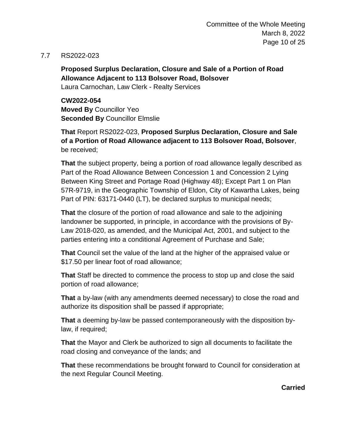#### 7.7 RS2022-023

**Proposed Surplus Declaration, Closure and Sale of a Portion of Road Allowance Adjacent to 113 Bolsover Road, Bolsover** Laura Carnochan, Law Clerk - Realty Services

**CW2022-054 Moved By** Councillor Yeo **Seconded By** Councillor Elmslie

**That** Report RS2022-023, **Proposed Surplus Declaration, Closure and Sale of a Portion of Road Allowance adjacent to 113 Bolsover Road, Bolsover**, be received;

**That** the subject property, being a portion of road allowance legally described as Part of the Road Allowance Between Concession 1 and Concession 2 Lying Between King Street and Portage Road (Highway 48); Except Part 1 on Plan 57R-9719, in the Geographic Township of Eldon, City of Kawartha Lakes, being Part of PIN: 63171-0440 (LT), be declared surplus to municipal needs;

**That** the closure of the portion of road allowance and sale to the adjoining landowner be supported, in principle, in accordance with the provisions of By-Law 2018-020, as amended, and the Municipal Act, 2001, and subject to the parties entering into a conditional Agreement of Purchase and Sale;

**That** Council set the value of the land at the higher of the appraised value or \$17.50 per linear foot of road allowance;

**That** Staff be directed to commence the process to stop up and close the said portion of road allowance;

**That** a by-law (with any amendments deemed necessary) to close the road and authorize its disposition shall be passed if appropriate;

**That** a deeming by-law be passed contemporaneously with the disposition bylaw, if required;

**That** the Mayor and Clerk be authorized to sign all documents to facilitate the road closing and conveyance of the lands; and

**That** these recommendations be brought forward to Council for consideration at the next Regular Council Meeting.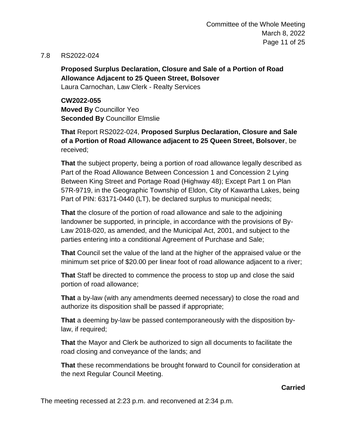Committee of the Whole Meeting March 8, 2022 Page 11 of 25

#### 7.8 RS2022-024

**Proposed Surplus Declaration, Closure and Sale of a Portion of Road Allowance Adjacent to 25 Queen Street, Bolsover**

Laura Carnochan, Law Clerk - Realty Services

**CW2022-055 Moved By** Councillor Yeo **Seconded By** Councillor Elmslie

**That** Report RS2022-024, **Proposed Surplus Declaration, Closure and Sale of a Portion of Road Allowance adjacent to 25 Queen Street, Bolsover**, be received;

**That** the subject property, being a portion of road allowance legally described as Part of the Road Allowance Between Concession 1 and Concession 2 Lying Between King Street and Portage Road (Highway 48); Except Part 1 on Plan 57R-9719, in the Geographic Township of Eldon, City of Kawartha Lakes, being Part of PIN: 63171-0440 (LT), be declared surplus to municipal needs;

**That** the closure of the portion of road allowance and sale to the adjoining landowner be supported, in principle, in accordance with the provisions of By-Law 2018-020, as amended, and the Municipal Act, 2001, and subject to the parties entering into a conditional Agreement of Purchase and Sale;

**That** Council set the value of the land at the higher of the appraised value or the minimum set price of \$20.00 per linear foot of road allowance adjacent to a river;

**That** Staff be directed to commence the process to stop up and close the said portion of road allowance;

**That** a by-law (with any amendments deemed necessary) to close the road and authorize its disposition shall be passed if appropriate;

**That** a deeming by-law be passed contemporaneously with the disposition bylaw, if required;

**That** the Mayor and Clerk be authorized to sign all documents to facilitate the road closing and conveyance of the lands; and

**That** these recommendations be brought forward to Council for consideration at the next Regular Council Meeting.

#### **Carried**

The meeting recessed at 2:23 p.m. and reconvened at 2:34 p.m.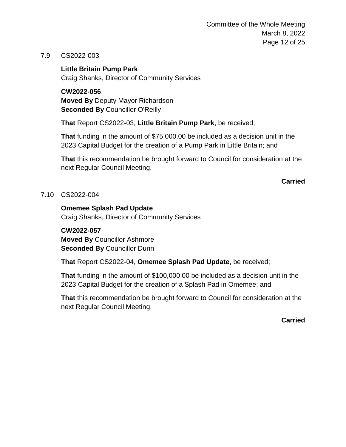Committee of the Whole Meeting March 8, 2022 Page 12 of 25

#### 7.9 CS2022-003

**Little Britain Pump Park** Craig Shanks, Director of Community Services

**CW2022-056 Moved By** Deputy Mayor Richardson **Seconded By** Councillor O'Reilly

**That** Report CS2022-03, **Little Britain Pump Park**, be received;

**That** funding in the amount of \$75,000.00 be included as a decision unit in the 2023 Capital Budget for the creation of a Pump Park in Little Britain; and

**That** this recommendation be brought forward to Council for consideration at the next Regular Council Meeting.

**Carried**

#### 7.10 CS2022-004

#### **Omemee Splash Pad Update**

Craig Shanks, Director of Community Services

#### **CW2022-057**

**Moved By** Councillor Ashmore **Seconded By** Councillor Dunn

**That** Report CS2022-04, **Omemee Splash Pad Update**, be received;

**That** funding in the amount of \$100,000.00 be included as a decision unit in the 2023 Capital Budget for the creation of a Splash Pad in Omemee; and

**That** this recommendation be brought forward to Council for consideration at the next Regular Council Meeting.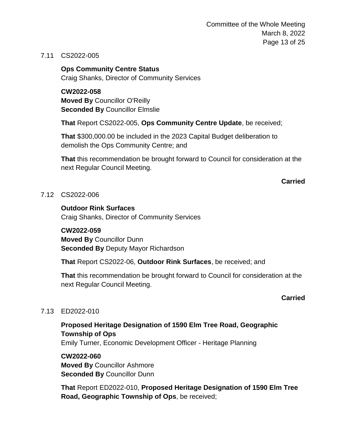Committee of the Whole Meeting March 8, 2022 Page 13 of 25

#### 7.11 CS2022-005

**Ops Community Centre Status** Craig Shanks, Director of Community Services

**CW2022-058 Moved By** Councillor O'Reilly **Seconded By** Councillor Elmslie

**That** Report CS2022-005, **Ops Community Centre Update**, be received;

**That** \$300,000.00 be included in the 2023 Capital Budget deliberation to demolish the Ops Community Centre; and

**That** this recommendation be brought forward to Council for consideration at the next Regular Council Meeting.

**Carried**

#### 7.12 CS2022-006

#### **Outdoor Rink Surfaces**

Craig Shanks, Director of Community Services

#### **CW2022-059**

**Moved By** Councillor Dunn **Seconded By** Deputy Mayor Richardson

**That** Report CS2022-06, **Outdoor Rink Surfaces**, be received; and

**That** this recommendation be brought forward to Council for consideration at the next Regular Council Meeting.

#### **Carried**

#### 7.13 ED2022-010

**Proposed Heritage Designation of 1590 Elm Tree Road, Geographic Township of Ops** Emily Turner, Economic Development Officer - Heritage Planning

**CW2022-060 Moved By** Councillor Ashmore **Seconded By** Councillor Dunn

**That** Report ED2022-010, **Proposed Heritage Designation of 1590 Elm Tree Road, Geographic Township of Ops**, be received;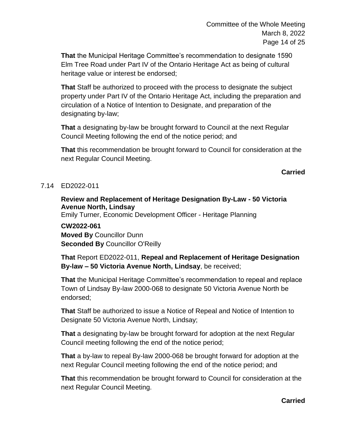**That** the Municipal Heritage Committee's recommendation to designate 1590 Elm Tree Road under Part IV of the Ontario Heritage Act as being of cultural heritage value or interest be endorsed;

**That** Staff be authorized to proceed with the process to designate the subject property under Part IV of the Ontario Heritage Act, including the preparation and circulation of a Notice of Intention to Designate, and preparation of the designating by-law;

**That** a designating by-law be brought forward to Council at the next Regular Council Meeting following the end of the notice period; and

**That** this recommendation be brought forward to Council for consideration at the next Regular Council Meeting.

# **Carried**

### 7.14 ED2022-011

#### **Review and Replacement of Heritage Designation By-Law - 50 Victoria Avenue North, Lindsay**

Emily Turner, Economic Development Officer - Heritage Planning

# **CW2022-061**

**Moved By** Councillor Dunn **Seconded By** Councillor O'Reilly

**That** Report ED2022-011, **Repeal and Replacement of Heritage Designation By-law – 50 Victoria Avenue North, Lindsay**, be received;

**That** the Municipal Heritage Committee's recommendation to repeal and replace Town of Lindsay By-law 2000-068 to designate 50 Victoria Avenue North be endorsed;

**That** Staff be authorized to issue a Notice of Repeal and Notice of Intention to Designate 50 Victoria Avenue North, Lindsay;

**That** a designating by-law be brought forward for adoption at the next Regular Council meeting following the end of the notice period;

**That** a by-law to repeal By-law 2000-068 be brought forward for adoption at the next Regular Council meeting following the end of the notice period; and

**That** this recommendation be brought forward to Council for consideration at the next Regular Council Meeting.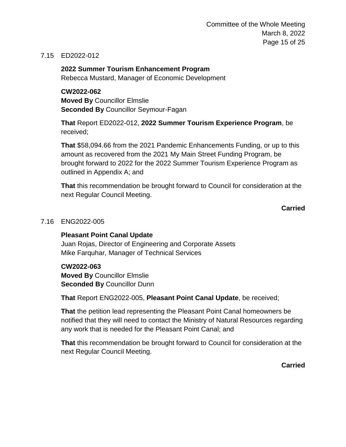Committee of the Whole Meeting March 8, 2022 Page 15 of 25

#### 7.15 ED2022-012

**2022 Summer Tourism Enhancement Program**

Rebecca Mustard, Manager of Economic Development

#### **CW2022-062**

**Moved By** Councillor Elmslie **Seconded By** Councillor Seymour-Fagan

**That** Report ED2022-012, **2022 Summer Tourism Experience Program**, be received;

**That** \$58,094.66 from the 2021 Pandemic Enhancements Funding, or up to this amount as recovered from the 2021 My Main Street Funding Program, be brought forward to 2022 for the 2022 Summer Tourism Experience Program as outlined in Appendix A; and

**That** this recommendation be brought forward to Council for consideration at the next Regular Council Meeting.

**Carried**

#### 7.16 ENG2022-005

#### **Pleasant Point Canal Update**

Juan Rojas, Director of Engineering and Corporate Assets Mike Farquhar, Manager of Technical Services

#### **CW2022-063**

**Moved By** Councillor Elmslie **Seconded By** Councillor Dunn

**That** Report ENG2022-005, **Pleasant Point Canal Update**, be received;

**That** the petition lead representing the Pleasant Point Canal homeowners be notified that they will need to contact the Ministry of Natural Resources regarding any work that is needed for the Pleasant Point Canal; and

**That** this recommendation be brought forward to Council for consideration at the next Regular Council Meeting.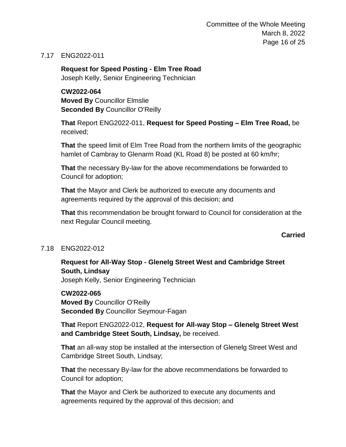Committee of the Whole Meeting March 8, 2022 Page 16 of 25

#### 7.17 ENG2022-011

**Request for Speed Posting - Elm Tree Road** Joseph Kelly, Senior Engineering Technician

#### **CW2022-064**

**Moved By** Councillor Elmslie **Seconded By** Councillor O'Reilly

**That** Report ENG2022-011, **Request for Speed Posting – Elm Tree Road,** be received;

**That** the speed limit of Elm Tree Road from the northern limits of the geographic hamlet of Cambray to Glenarm Road (KL Road 8) be posted at 60 km/hr;

**That** the necessary By-law for the above recommendations be forwarded to Council for adoption;

**That** the Mayor and Clerk be authorized to execute any documents and agreements required by the approval of this decision; and

**That** this recommendation be brought forward to Council for consideration at the next Regular Council meeting.

#### **Carried**

#### 7.18 ENG2022-012

# **Request for All-Way Stop - Glenelg Street West and Cambridge Street South, Lindsay**

Joseph Kelly, Senior Engineering Technician

**CW2022-065 Moved By** Councillor O'Reilly **Seconded By** Councillor Seymour-Fagan

**That** Report ENG2022-012, **Request for All-way Stop – Glenelg Street West and Cambridge Steet South, Lindsay,** be received.

**That** an all-way stop be installed at the intersection of Glenelg Street West and Cambridge Street South, Lindsay;

**That** the necessary By-law for the above recommendations be forwarded to Council for adoption;

**That** the Mayor and Clerk be authorized to execute any documents and agreements required by the approval of this decision; and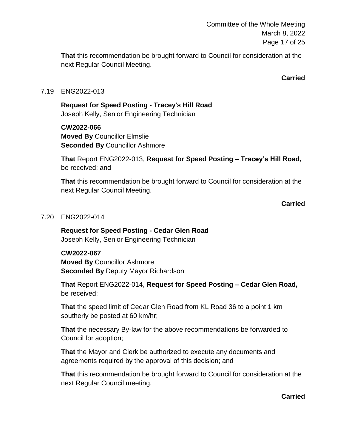Committee of the Whole Meeting March 8, 2022 Page 17 of 25

**That** this recommendation be brought forward to Council for consideration at the next Regular Council Meeting.

**Carried**

#### 7.19 ENG2022-013

**Request for Speed Posting - Tracey's Hill Road** Joseph Kelly, Senior Engineering Technician

**CW2022-066 Moved By** Councillor Elmslie **Seconded By** Councillor Ashmore

**That** Report ENG2022-013, **Request for Speed Posting – Tracey's Hill Road,** be received; and

**That** this recommendation be brought forward to Council for consideration at the next Regular Council Meeting.

**Carried**

#### 7.20 ENG2022-014

**Request for Speed Posting - Cedar Glen Road** Joseph Kelly, Senior Engineering Technician

#### **CW2022-067**

**Moved By** Councillor Ashmore **Seconded By** Deputy Mayor Richardson

**That** Report ENG2022-014, **Request for Speed Posting – Cedar Glen Road,** be received;

**That** the speed limit of Cedar Glen Road from KL Road 36 to a point 1 km southerly be posted at 60 km/hr;

**That** the necessary By-law for the above recommendations be forwarded to Council for adoption;

**That** the Mayor and Clerk be authorized to execute any documents and agreements required by the approval of this decision; and

**That** this recommendation be brought forward to Council for consideration at the next Regular Council meeting.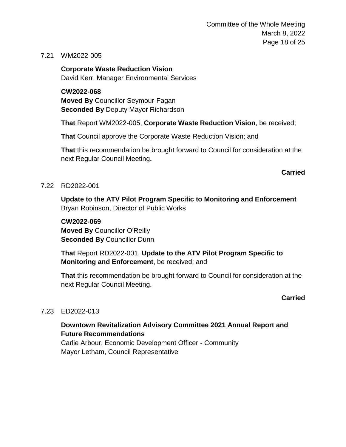Committee of the Whole Meeting March 8, 2022 Page 18 of 25

#### 7.21 WM2022-005

**Corporate Waste Reduction Vision**

David Kerr, Manager Environmental Services

**CW2022-068**

**Moved By** Councillor Seymour-Fagan **Seconded By** Deputy Mayor Richardson

**That** Report WM2022-005, **Corporate Waste Reduction Vision**, be received;

**That** Council approve the Corporate Waste Reduction Vision; and

**That** this recommendation be brought forward to Council for consideration at the next Regular Council Meeting**.**

**Carried**

#### 7.22 RD2022-001

**Update to the ATV Pilot Program Specific to Monitoring and Enforcement** Bryan Robinson, Director of Public Works

**CW2022-069 Moved By** Councillor O'Reilly **Seconded By** Councillor Dunn

**That** Report RD2022-001, **Update to the ATV Pilot Program Specific to Monitoring and Enforcement**, be received; and

**That** this recommendation be brought forward to Council for consideration at the next Regular Council Meeting.

**Carried**

#### 7.23 ED2022-013

### **Downtown Revitalization Advisory Committee 2021 Annual Report and Future Recommendations**

Carlie Arbour, Economic Development Officer - Community Mayor Letham, Council Representative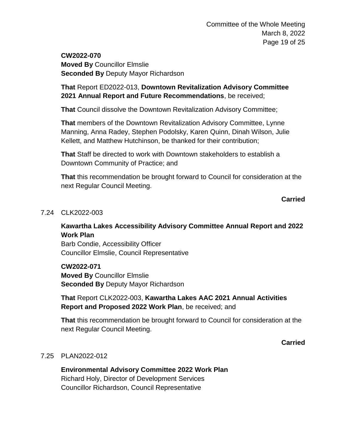**CW2022-070 Moved By** Councillor Elmslie **Seconded By** Deputy Mayor Richardson

**That** Report ED2022-013, **Downtown Revitalization Advisory Committee 2021 Annual Report and Future Recommendations**, be received;

**That** Council dissolve the Downtown Revitalization Advisory Committee;

**That** members of the Downtown Revitalization Advisory Committee, Lynne Manning, Anna Radey, Stephen Podolsky, Karen Quinn, Dinah Wilson, Julie Kellett, and Matthew Hutchinson, be thanked for their contribution;

**That** Staff be directed to work with Downtown stakeholders to establish a Downtown Community of Practice; and

**That** this recommendation be brought forward to Council for consideration at the next Regular Council Meeting.

**Carried**

#### 7.24 CLK2022-003

### **Kawartha Lakes Accessibility Advisory Committee Annual Report and 2022 Work Plan**

Barb Condie, Accessibility Officer Councillor Elmslie, Council Representative

**CW2022-071**

**Moved By** Councillor Elmslie **Seconded By** Deputy Mayor Richardson

**That** Report CLK2022-003, **Kawartha Lakes AAC 2021 Annual Activities Report and Proposed 2022 Work Plan**, be received; and

**That** this recommendation be brought forward to Council for consideration at the next Regular Council Meeting.

**Carried**

#### 7.25 PLAN2022-012

**Environmental Advisory Committee 2022 Work Plan** Richard Holy, Director of Development Services Councillor Richardson, Council Representative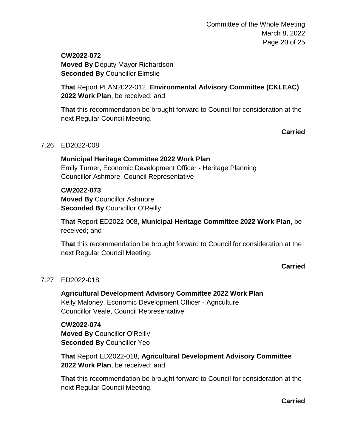Committee of the Whole Meeting March 8, 2022 Page 20 of 25

**CW2022-072 Moved By** Deputy Mayor Richardson **Seconded By** Councillor Elmslie

**That** Report PLAN2022-012, **Environmental Advisory Committee (CKLEAC) 2022 Work Plan**, be received; and

**That** this recommendation be brought forward to Council for consideration at the next Regular Council Meeting.

**Carried**

#### 7.26 ED2022-008

**Municipal Heritage Committee 2022 Work Plan** Emily Turner, Economic Development Officer - Heritage Planning Councillor Ashmore, Council Representative

#### **CW2022-073**

**Moved By** Councillor Ashmore **Seconded By** Councillor O'Reilly

**That** Report ED2022-008, **Municipal Heritage Committee 2022 Work Plan**, be received; and

**That** this recommendation be brought forward to Council for consideration at the next Regular Council Meeting.

**Carried**

#### 7.27 ED2022-018

**Agricultural Development Advisory Committee 2022 Work Plan** Kelly Maloney, Economic Development Officer - Agriculture Councillor Veale, Council Representative

**CW2022-074 Moved By** Councillor O'Reilly **Seconded By** Councillor Yeo

**That** Report ED2022-018, **Agricultural Development Advisory Committee 2022 Work Plan**, be received; and

**That** this recommendation be brought forward to Council for consideration at the next Regular Council Meeting.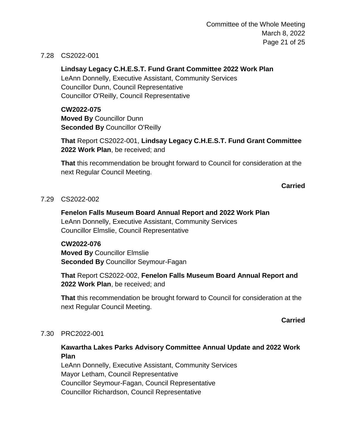Committee of the Whole Meeting March 8, 2022 Page 21 of 25

#### 7.28 CS2022-001

**Lindsay Legacy C.H.E.S.T. Fund Grant Committee 2022 Work Plan** LeAnn Donnelly, Executive Assistant, Community Services Councillor Dunn, Council Representative Councillor O'Reilly, Council Representative

**CW2022-075 Moved By** Councillor Dunn **Seconded By** Councillor O'Reilly

**That** Report CS2022-001, **Lindsay Legacy C.H.E.S.T. Fund Grant Committee 2022 Work Plan**, be received; and

**That** this recommendation be brought forward to Council for consideration at the next Regular Council Meeting.

**Carried**

#### 7.29 CS2022-002

**Fenelon Falls Museum Board Annual Report and 2022 Work Plan** LeAnn Donnelly, Executive Assistant, Community Services Councillor Elmslie, Council Representative

# **CW2022-076 Moved By** Councillor Elmslie **Seconded By** Councillor Seymour-Fagan

**That** Report CS2022-002, **Fenelon Falls Museum Board Annual Report and 2022 Work Plan**, be received; and

**That** this recommendation be brought forward to Council for consideration at the next Regular Council Meeting.

**Carried**

#### 7.30 PRC2022-001

#### **Kawartha Lakes Parks Advisory Committee Annual Update and 2022 Work Plan**

LeAnn Donnelly, Executive Assistant, Community Services Mayor Letham, Council Representative Councillor Seymour-Fagan, Council Representative Councillor Richardson, Council Representative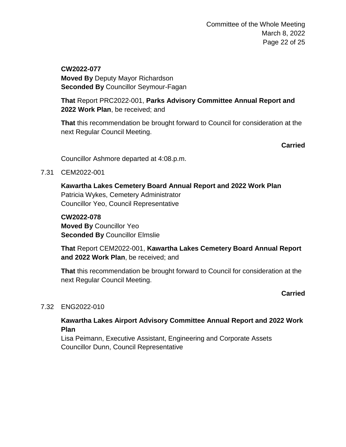**CW2022-077 Moved By** Deputy Mayor Richardson **Seconded By** Councillor Seymour-Fagan

**That** Report PRC2022-001, **Parks Advisory Committee Annual Report and 2022 Work Plan**, be received; and

**That** this recommendation be brought forward to Council for consideration at the next Regular Council Meeting.

**Carried**

Councillor Ashmore departed at 4:08.p.m.

7.31 CEM2022-001

**Kawartha Lakes Cemetery Board Annual Report and 2022 Work Plan** Patricia Wykes, Cemetery Administrator Councillor Yeo, Council Representative

**CW2022-078 Moved By** Councillor Yeo **Seconded By** Councillor Elmslie

**That** Report CEM2022-001, **Kawartha Lakes Cemetery Board Annual Report and 2022 Work Plan**, be received; and

**That** this recommendation be brought forward to Council for consideration at the next Regular Council Meeting.

**Carried**

### 7.32 ENG2022-010

# **Kawartha Lakes Airport Advisory Committee Annual Report and 2022 Work Plan**

Lisa Peimann, Executive Assistant, Engineering and Corporate Assets Councillor Dunn, Council Representative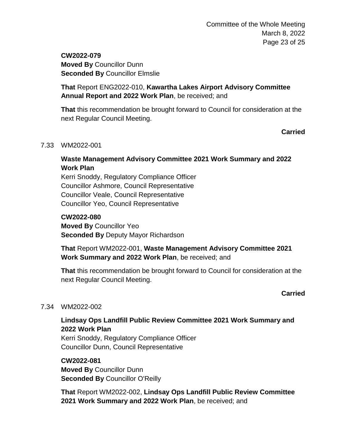# **CW2022-079 Moved By** Councillor Dunn **Seconded By** Councillor Elmslie

# **That** Report ENG2022-010, **Kawartha Lakes Airport Advisory Committee Annual Report and 2022 Work Plan**, be received; and

**That** this recommendation be brought forward to Council for consideration at the next Regular Council Meeting.

**Carried**

#### 7.33 WM2022-001

# **Waste Management Advisory Committee 2021 Work Summary and 2022 Work Plan**

Kerri Snoddy, Regulatory Compliance Officer Councillor Ashmore, Council Representative Councillor Veale, Council Representative Councillor Yeo, Council Representative

### **CW2022-080**

**Moved By** Councillor Yeo **Seconded By** Deputy Mayor Richardson

**That** Report WM2022-001, **Waste Management Advisory Committee 2021 Work Summary and 2022 Work Plan**, be received; and

**That** this recommendation be brought forward to Council for consideration at the next Regular Council Meeting.

**Carried**

### 7.34 WM2022-002

# **Lindsay Ops Landfill Public Review Committee 2021 Work Summary and 2022 Work Plan**

Kerri Snoddy, Regulatory Compliance Officer Councillor Dunn, Council Representative

**CW2022-081 Moved By** Councillor Dunn **Seconded By** Councillor O'Reilly

**That** Report WM2022-002, **Lindsay Ops Landfill Public Review Committee 2021 Work Summary and 2022 Work Plan**, be received; and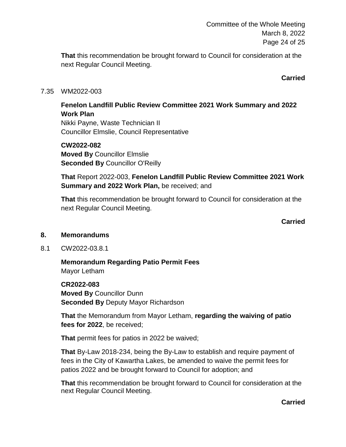Committee of the Whole Meeting March 8, 2022 Page 24 of 25

**That** this recommendation be brought forward to Council for consideration at the next Regular Council Meeting.

**Carried**

#### 7.35 WM2022-003

## **Fenelon Landfill Public Review Committee 2021 Work Summary and 2022 Work Plan**

Nikki Payne, Waste Technician II Councillor Elmslie, Council Representative

**CW2022-082 Moved By** Councillor Elmslie **Seconded By** Councillor O'Reilly

**That** Report 2022-003, **Fenelon Landfill Public Review Committee 2021 Work Summary and 2022 Work Plan,** be received; and

**That** this recommendation be brought forward to Council for consideration at the next Regular Council Meeting.

**Carried**

#### **8. Memorandums**

8.1 CW2022-03.8.1

**Memorandum Regarding Patio Permit Fees** Mayor Letham

**CR2022-083 Moved By** Councillor Dunn **Seconded By** Deputy Mayor Richardson

**That** the Memorandum from Mayor Letham, **regarding the waiving of patio fees for 2022**, be received;

**That** permit fees for patios in 2022 be waived;

**That** By-Law 2018-234, being the By-Law to establish and require payment of fees in the City of Kawartha Lakes, be amended to waive the permit fees for patios 2022 and be brought forward to Council for adoption; and

**That** this recommendation be brought forward to Council for consideration at the next Regular Council Meeting.